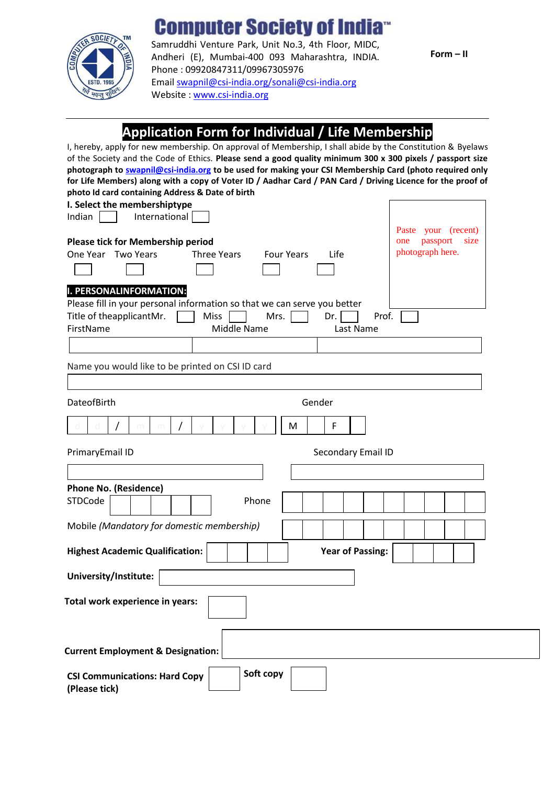## **Computer Society of Indi**



Samruddhi Venture Park, Unit No.3, 4th Floor, MIDC, Andheri (E), Mumbai-400 093 Maharashtra, INDIA. Phone : 09920847311/09967305976 Emai[l swapnil@csi-india.org/sonali@c](mailto:swapnil@csi-india.org/sonali@)si-india.org Website [: www.csi-india.org](http://www.csi-india.org/)

**Form – II**

### **Application Form for Individual / Life Membership**

d | d | **/** | m | m | **/** | y | y | y | y | | **M** | | **F** I, hereby, apply for new membership. On approval of Membership, I shall abide by the Constitution & Byelaws of the Society and the Code of Ethics. **Please send a good quality minimum 300 x 300 pixels / passport size photograph to [swapnil@c](mailto:swapnil@)si-india.org to be used for making your CSI Membership Card (photo required only for Life Members) along with a copy of Voter ID / Aadhar Card / PAN Card / Driving Licence for the proof of photo Id card containing Address & Date of birth I. Select the membershiptype** Indian | | International **Please tick for Membership period** One Year Two Years Three Years Four Years Life **I. PERSONALINFORMATION:** Please fill in your personal information so that we can serve you better Title of theapplicant Mr.  $\vert$  Miss  $\vert$  Mrs.  $\vert$  Dr.  $\vert$  Prof. FirstName Middle Name Last Name Name you would like to be printed on CSI ID card DateofBirth Gender PrimaryEmail ID **Secondary Email ID** Secondary Email ID **Phone No. (Residence)** STDCode | | | | | | Phone Mobile *(Mandatory for domestic membership)* **Highest Academic Qualification: University/Institute: Total work experience in years: Current Employment & Designation: CSI Communications: Hard Copy Soft copy Year of Passing:** Paste your (recent) one passport size photograph here.

**(Please tick)**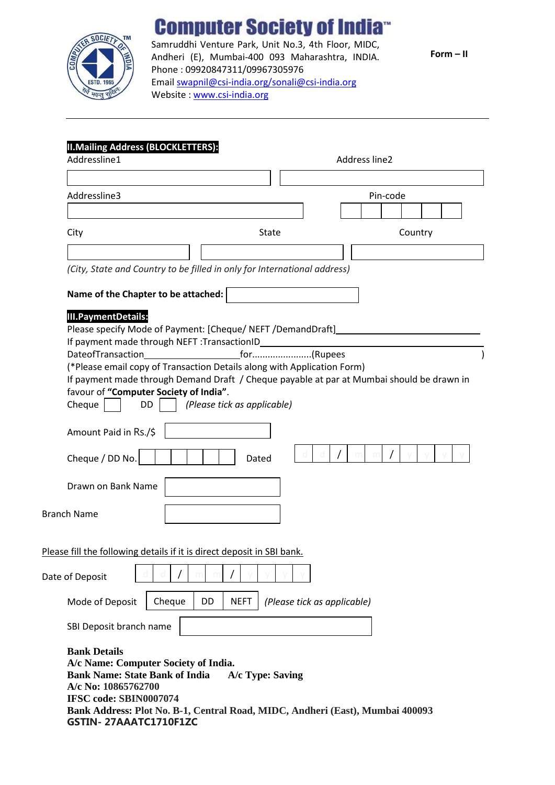

## **Computer Society of India**

Samruddhi Venture Park, Unit No.3, 4th Floor, MIDC, Andheri (E), Mumbai-400 093 Maharashtra, INDIA. Phone : 09920847311/09967305976 Emai[l swapnil@csi-india.org/sonali@c](mailto:swapnil@csi-india.org/sonali@)si-india.org Website [: www.csi-india.org](http://www.csi-india.org/)

**Form – II**

#### **II.Mailing Address (BLOCKLETTERS):**

| Addressline1                                                                                                                                                                                                                           | Address line2                                                                             |
|----------------------------------------------------------------------------------------------------------------------------------------------------------------------------------------------------------------------------------------|-------------------------------------------------------------------------------------------|
|                                                                                                                                                                                                                                        |                                                                                           |
| Addressline3                                                                                                                                                                                                                           | Pin-code                                                                                  |
| City                                                                                                                                                                                                                                   | <b>State</b><br>Country                                                                   |
|                                                                                                                                                                                                                                        |                                                                                           |
| (City, State and Country to be filled in only for International address)                                                                                                                                                               |                                                                                           |
| Name of the Chapter to be attached:                                                                                                                                                                                                    |                                                                                           |
| <b>III.PaymentDetails:</b><br>Please specify Mode of Payment: [Cheque/ NEFT /DemandDraft]                                                                                                                                              |                                                                                           |
| (*Please email copy of Transaction Details along with Application Form)<br>favour of "Computer Society of India".<br>Cheque<br>(Please tick as applicable)<br>DD                                                                       | If payment made through Demand Draft / Cheque payable at par at Mumbai should be drawn in |
| Amount Paid in Rs./\$<br>Cheque / DD No.<br>Dated                                                                                                                                                                                      |                                                                                           |
| Drawn on Bank Name                                                                                                                                                                                                                     |                                                                                           |
| <b>Branch Name</b>                                                                                                                                                                                                                     |                                                                                           |
| Please fill the following details if it is direct deposit in SBI bank.                                                                                                                                                                 |                                                                                           |
| Date of Deposit                                                                                                                                                                                                                        |                                                                                           |
| Cheque<br>DD<br><b>NEFT</b><br>Mode of Deposit                                                                                                                                                                                         | (Please tick as applicable)                                                               |
| SBI Deposit branch name                                                                                                                                                                                                                |                                                                                           |
| <b>Bank Details</b><br>A/c Name: Computer Society of India.<br><b>Bank Name: State Bank of India</b><br>A/c No: 10865762700<br>IFSC code: SBIN0007074<br>Bank Address: Plot No. B-1, Central Road, MIDC, Andheri (East), Mumbai 400093 | A/c Type: Saving                                                                          |

**GSTIN- 27AAATC1710F1ZC**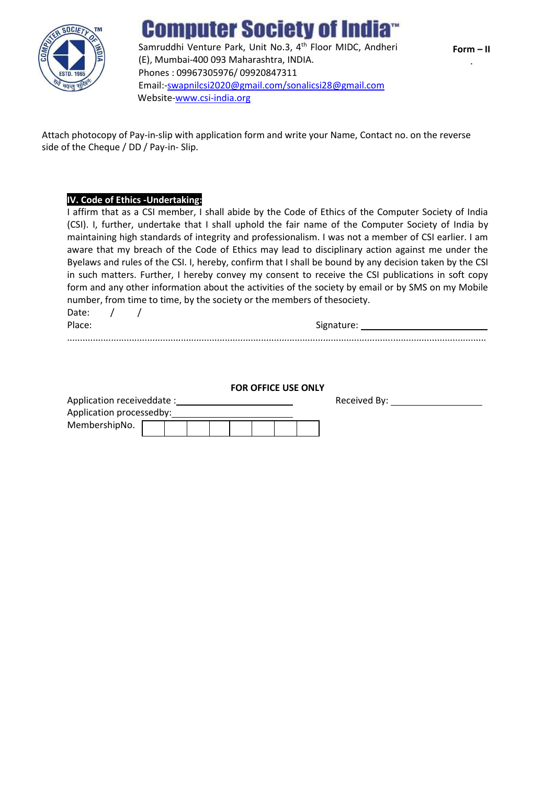

# **Computer Society of Ind**

Samruddhi Venture Park, Unit No.3, 4<sup>th</sup> Floor MIDC, Andheri (E), Mumbai-400 093 Maharashtra, INDIA. Phones : 09967305976/ 09920847311 Email:[-swapnilcsi2020@gmail.com/sonalicsi28@gmail.com](mailto:swapnilcsi2020@gmail.com/sonalicsi28@) Website[-www.csi-india.org](http://www.csi-india.org/)

Attach photocopy of Pay-in-slip with application form and write your Name, Contact no. on the reverse side of the Cheque / DD / Pay-in- Slip.

#### **IV. Code of Ethics -Undertaking:**

I affirm that as a CSI member, I shall abide by the Code of Ethics of the Computer Society of India (CSI). I, further, undertake that I shall uphold the fair name of the Computer Society of India by maintaining high standards of integrity and professionalism. I was not a member of CSI earlier. I am aware that my breach of the Code of Ethics may lead to disciplinary action against me under the Byelaws and rules of the CSI. I, hereby, confirm that I shall be bound by any decision taken by the CSI in such matters. Further, I hereby convey my consent to receive the CSI publications in soft copy form and any other information about the activities of the society by email or by SMS on my Mobile number, from time to time, by the society or the members of thesociety.

Date:  $/$  /

Place: Signature: Signature: Signature: Signature: Signature: Signature: Signature: Signature: Signature: Signature: Signature: Signature: Signature: Signature: Signature: Signature: Signature: Signature: Signature: Signat

|                           | <b>FOR OFFICE USE ONLY</b> |              |  |
|---------------------------|----------------------------|--------------|--|
| Application receiveddate: |                            | Received By: |  |

..................................................................................................................................................................

| Application processedby: |  |  |  |  |
|--------------------------|--|--|--|--|
| MembershipNo.            |  |  |  |  |
|                          |  |  |  |  |